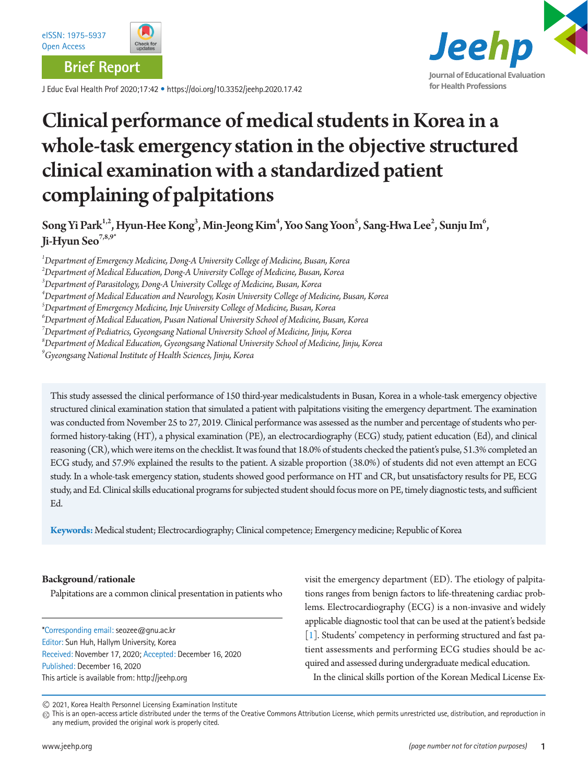

**Brief Report**

J Educ Eval Health Prof 2020;17:42 • https://doi.org/10.3352/jeehp.2020.17.42



# Clinical performance of medical students in Korea in a whole-task emergency station in the objective structured clinical examination with a standardized patient complaining of palpitations

Song Yi Park $^{1,2}$ , Hyun-Hee Kong $^3$ , Min-Jeong Kim $^4$ , Yoo Sang Yoon $^5$ , Sang-Hwa Lee $^2$ , Sunju Im $^6$ , Ji-Hyun Seo $^{7,8,9*}$ 

*1 Department of Emergency Medicine, Dong-A University College of Medicine, Busan, Korea* 

*2 Department of Medical Education, Dong-A University College of Medicine, Busan, Korea* 

*4 Department of Medical Education and Neurology, Kosin University College of Medicine, Busan, Korea* 

*5 Department of Emergency Medicine, Inje University College of Medicine, Busan, Korea* 

*6 Department of Medical Education, Pusan National University School of Medicine, Busan, Korea* 

*7 Department of Pediatrics, Gyeongsang National University School of Medicine, Jinju, Korea* 

*8 Department of Medical Education, Gyeongsang National University School of Medicine, Jinju, Korea* 

*9 Gyeongsang National Institute of Health Sciences, Jinju, Korea* 

This study assessed the clinical performance of 150 third-year medicalstudents in Busan, Korea in a whole-task emergency objective structured clinical examination station that simulated a patient with palpitations visiting the emergency department. The examination was conducted from November 25 to 27, 2019. Clinical performance was assessed as the number and percentage of students who performed history-taking (HT), a physical examination (PE), an electrocardiography (ECG) study, patient education (Ed), and clinical reasoning (CR), which were items on the checklist. It was found that 18.0% of students checked the patient's pulse, 51.3% completed an ECG study, and 57.9% explained the results to the patient. A sizable proportion (38.0%) of students did not even attempt an ECG study. In a whole-task emergency station, students showed good performance on HT and CR, but unsatisfactory results for PE, ECG study, and Ed. Clinical skills educational programs for subjected student should focus more on PE, timely diagnostic tests, and sufficient Ed.

**Keywords:** Medical student; Electrocardiography; Clinical competence; Emergency medicine; Republic of Korea

## **Background/rationale**

Palpitations are a common clinical presentation in patients who

\*Corresponding email: seozee@gnu.ac.kr Editor: Sun Huh, Hallym University, Korea Received: November 17, 2020; Accepted: December 16, 2020 Published: December 16, 2020 This article is available from: http://jeehp.org

visit the emergency department (ED). The etiology of palpitations ranges from benign factors to life-threatening cardiac problems. Electrocardiography (ECG) is a non-invasive and widely applicable diagnostic tool that can be used at the patient's bedside [\[1\]](#page-4-0). Students' competency in performing structured and fast patient assessments and performing ECG studies should be acquired and assessed during undergraduate medical education.

In the clinical skills portion of the Korean Medical License Ex-

2021, Korea Health Personnel Licensing Examination Institute

*<sup>3</sup> Department of Parasitology, Dong-A University College of Medicine, Busan, Korea* 

 $\textcircled{\tiny{}}$  This is an open-access article distributed under the terms of the Creative Commons Attribution License, which permits unrestricted use, distribution, and reproduction in any medium, provided the original work is properly cited.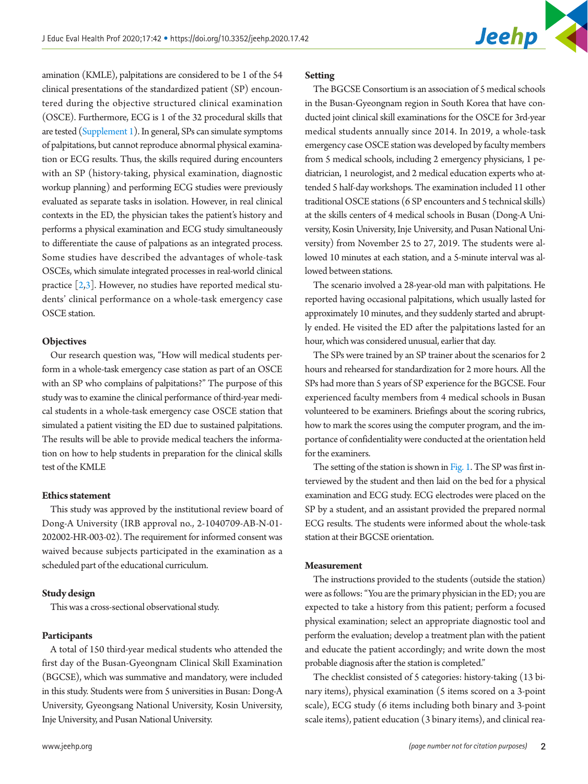

amination (KMLE), palpitations are considered to be 1 of the 54 clinical presentations of the standardized patient (SP) encountered during the objective structured clinical examination (OSCE). Furthermore, ECG is 1 of the 32 procedural skills that are tested [\(Supplement 1](#page-4-1)). In general, SPs can simulate symptoms of palpitations, but cannot reproduce abnormal physical examination or ECG results. Thus, the skills required during encounters with an SP (history-taking, physical examination, diagnostic workup planning) and performing ECG studies were previously evaluated as separate tasks in isolation. However, in real clinical contexts in the ED, the physician takes the patient's history and performs a physical examination and ECG study simultaneously to differentiate the cause of palpations as an integrated process. Some studies have described the advantages of whole-task OSCEs, which simulate integrated processes in real-world clinical practice [\[2,](#page-4-2)[3\]](#page-4-3). However, no studies have reported medical students' clinical performance on a whole-task emergency case OSCE station.

#### **Objectives**

Our research question was, "How will medical students perform in a whole-task emergency case station as part of an OSCE with an SP who complains of palpitations?" The purpose of this study was to examine the clinical performance of third-year medical students in a whole-task emergency case OSCE station that simulated a patient visiting the ED due to sustained palpitations. The results will be able to provide medical teachers the information on how to help students in preparation for the clinical skills test of the KMLE

#### **Ethics statement**

This study was approved by the institutional review board of Dong-A University (IRB approval no., 2-1040709-AB-N-01- 202002-HR-003-02). The requirement for informed consent was waived because subjects participated in the examination as a scheduled part of the educational curriculum.

#### **Study design**

This was a cross-sectional observational study.

#### **Participants**

A total of 150 third-year medical students who attended the first day of the Busan-Gyeongnam Clinical Skill Examination (BGCSE), which was summative and mandatory, were included in this study. Students were from 5 universities in Busan: Dong-A University, Gyeongsang National University, Kosin University, Inje University, and Pusan National University.

#### **Setting**

The BGCSE Consortium is an association of 5 medical schools in the Busan-Gyeongnam region in South Korea that have conducted joint clinical skill examinations for the OSCE for 3rd-year medical students annually since 2014. In 2019, a whole-task emergency case OSCE station was developed by faculty members from 5 medical schools, including 2 emergency physicians, 1 pediatrician, 1 neurologist, and 2 medical education experts who attended 5 half-day workshops. The examination included 11 other traditional OSCE stations (6 SP encounters and 5 technical skills) at the skills centers of 4 medical schools in Busan (Dong-A University, Kosin University, Inje University, and Pusan National University) from November 25 to 27, 2019. The students were allowed 10 minutes at each station, and a 5-minute interval was allowed between stations.

The scenario involved a 28-year-old man with palpitations. He reported having occasional palpitations, which usually lasted for approximately 10 minutes, and they suddenly started and abruptly ended. He visited the ED after the palpitations lasted for an hour, which was considered unusual, earlier that day.

The SPs were trained by an SP trainer about the scenarios for 2 hours and rehearsed for standardization for 2 more hours. All the SPs had more than 5 years of SP experience for the BGCSE. Four experienced faculty members from 4 medical schools in Busan volunteered to be examiners. Briefings about the scoring rubrics, how to mark the scores using the computer program, and the importance of confidentiality were conducted at the orientation held for the examiners.

The setting of the station is shown in [Fig. 1.](#page-5-0) The SP was first interviewed by the student and then laid on the bed for a physical examination and ECG study. ECG electrodes were placed on the SP by a student, and an assistant provided the prepared normal ECG results. The students were informed about the whole-task station at their BGCSE orientation.

#### **Measurement**

The instructions provided to the students (outside the station) were as follows: "You are the primary physician in the ED; you are expected to take a history from this patient; perform a focused physical examination; select an appropriate diagnostic tool and perform the evaluation; develop a treatment plan with the patient and educate the patient accordingly; and write down the most probable diagnosis after the station is completed."

The checklist consisted of 5 categories: history-taking (13 binary items), physical examination (5 items scored on a 3-point scale), ECG study (6 items including both binary and 3-point scale items), patient education (3 binary items), and clinical rea-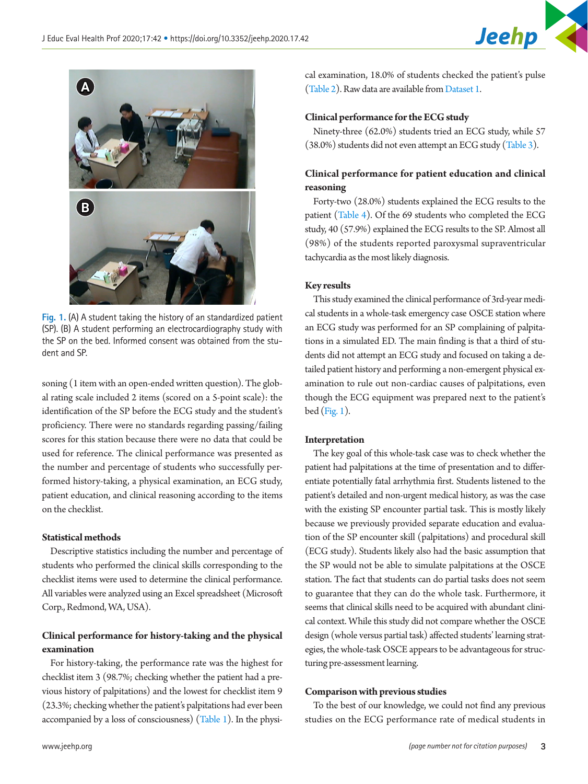



**Fig. 1.** (A) A student taking the history of an standardized patient (SP). (B) A student performing an electrocardiography study with the SP on the bed. Informed consent was obtained from the student and SP.

soning (1 item with an open-ended written question). The global rating scale included 2 items (scored on a 5-point scale): the identification of the SP before the ECG study and the student's proficiency. There were no standards regarding passing/failing scores for this station because there were no data that could be used for reference. The clinical performance was presented as the number and percentage of students who successfully performed history-taking, a physical examination, an ECG study, patient education, and clinical reasoning according to the items on the checklist.

#### **Statistical methods**

Descriptive statistics including the number and percentage of students who performed the clinical skills corresponding to the checklist items were used to determine the clinical performance. All variables were analyzed using an Excel spreadsheet (Microsoft Corp., Redmond, WA, USA).

## **Clinical performance for history-taking and the physical examination**

For history-taking, the performance rate was the highest for checklist item 3 (98.7%; checking whether the patient had a previous history of palpitations) and the lowest for checklist item 9 (23.3%; checking whether the patient's palpitations had ever been accompanied by a loss of consciousness) [\(Table 1](#page-3-3)). In the physical examination, 18.0% of students checked the patient's pulse [\(Table 2](#page-3-0)). Raw data are available from Dataset 1.

#### **Clinical performance for the ECG study**

Ninety-three (62.0%) students tried an ECG study, while 57 (38.0%) students did not even attempt an ECG study [\(Table 3\)](#page-3-1).

## **Clinical performance for patient education and clinical reasoning**

Forty-two (28.0%) students explained the ECG results to the patient [\(Table 4](#page-3-2)). Of the 69 students who completed the ECG study, 40 (57.9%) explained the ECG results to the SP. Almost all (98%) of the students reported paroxysmal supraventricular tachycardia as the most likely diagnosis.

#### **Key results**

This study examined the clinical performance of 3rd-year medical students in a whole-task emergency case OSCE station where an ECG study was performed for an SP complaining of palpitations in a simulated ED. The main finding is that a third of students did not attempt an ECG study and focused on taking a detailed patient history and performing a non-emergent physical examination to rule out non-cardiac causes of palpitations, even though the ECG equipment was prepared next to the patient's bed (Fig. 1).

#### **Interpretation**

The key goal of this whole-task case was to check whether the patient had palpitations at the time of presentation and to differentiate potentially fatal arrhythmia first. Students listened to the patient's detailed and non-urgent medical history, as was the case with the existing SP encounter partial task. This is mostly likely because we previously provided separate education and evaluation of the SP encounter skill (palpitations) and procedural skill (ECG study). Students likely also had the basic assumption that the SP would not be able to simulate palpitations at the OSCE station. The fact that students can do partial tasks does not seem to guarantee that they can do the whole task. Furthermore, it seems that clinical skills need to be acquired with abundant clinical context. While this study did not compare whether the OSCE design (whole versus partial task) affected students' learning strategies, the whole-task OSCE appears to be advantageous for structuring pre-assessment learning.

#### **Comparison with previous studies**

To the best of our knowledge, we could not find any previous studies on the ECG performance rate of medical students in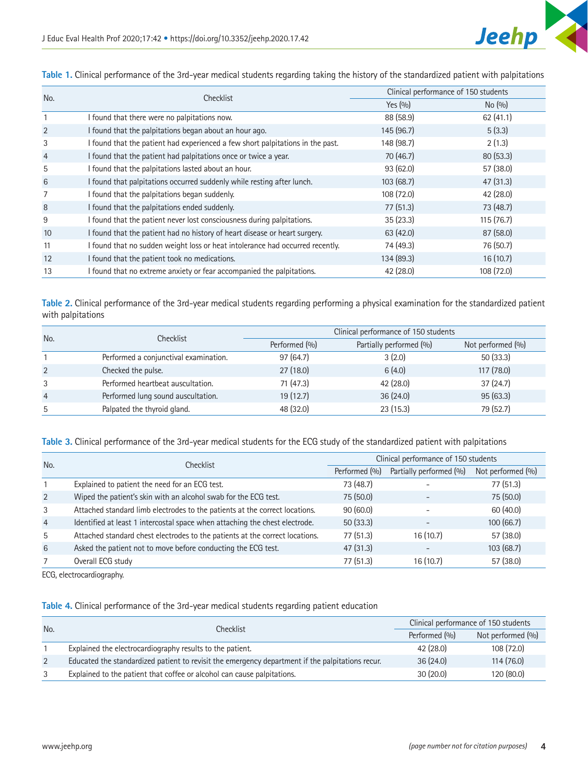| No (9/0)<br>62(41.1) |
|----------------------|
|                      |
|                      |
|                      |
|                      |
| 80(53.3)             |
| 57 (38.0)            |
| 47(31.3)             |
| 42(28.0)             |
| 73 (48.7)            |
| 115(76.7)            |
| 87(58.0)             |
| 76 (50.7)            |
| 16(10.7)             |
| 108 (72.0)           |
| 5(3.3)<br>2(1.3)     |

<span id="page-3-3"></span>**Table 1.** Clinical performance of the 3rd-year medical students regarding taking the history of the standardized patient with palpitations

<span id="page-3-0"></span>**Table 2.** Clinical performance of the 3rd-year medical students regarding performing a physical examination for the standardized patient with palpitations

| No.            | Checklist                             | Clinical performance of 150 students |                         |                   |  |
|----------------|---------------------------------------|--------------------------------------|-------------------------|-------------------|--|
|                |                                       | Performed (%)                        | Partially performed (%) | Not performed (%) |  |
|                | Performed a conjunctival examination. | 97(64.7)                             | 3(2.0)                  | 50(33.3)          |  |
| $\overline{2}$ | Checked the pulse.                    | 27(18.0)                             | 6(4.0)                  | 117(78.0)         |  |
| 3              | Performed heartbeat auscultation.     | 71 (47.3)                            | 42 (28.0)               | 37(24.7)          |  |
| $\overline{4}$ | Performed lung sound auscultation.    | 19(12.7)                             | 36(24.0)                | 95(63.3)          |  |
| 5              | Palpated the thyroid gland.           | 48 (32.0)                            | 23(15.3)                | 79 (52.7)         |  |

## <span id="page-3-1"></span>**Table 3.** Clinical performance of the 3rd-year medical students for the ECG study of the standardized patient with palpitations

| No.            | Checklist                                                                    | Clinical performance of 150 students |                         |                   |
|----------------|------------------------------------------------------------------------------|--------------------------------------|-------------------------|-------------------|
|                |                                                                              | Performed (%)                        | Partially performed (%) | Not performed (%) |
|                | Explained to patient the need for an ECG test.                               | 73 (48.7)                            |                         | 77 (51.3)         |
| $\overline{2}$ | Wiped the patient's skin with an alcohol swab for the ECG test.              | 75 (50.0)                            |                         | 75 (50.0)         |
| 3              | Attached standard limb electrodes to the patients at the correct locations.  | 90(60.0)                             |                         | 60 (40.0)         |
| $\overline{4}$ | Identified at least 1 intercostal space when attaching the chest electrode.  | 50(33.3)                             |                         | 100(66.7)         |
| 5              | Attached standard chest electrodes to the patients at the correct locations. | 77 (51.3)                            | 16(10.7)                | 57 (38.0)         |
| 6              | Asked the patient not to move before conducting the ECG test.                | 47(31.3)                             |                         | 103(68.7)         |
|                | Overall ECG study                                                            | 77 (51.3)                            | 16(10.7)                | 57 (38.0)         |

ECG, electrocardiography.

#### <span id="page-3-2"></span>**Table 4.** Clinical performance of the 3rd-year medical students regarding patient education

| No. | Checklist                                                                                        | Clinical performance of 150 students |                   |
|-----|--------------------------------------------------------------------------------------------------|--------------------------------------|-------------------|
|     |                                                                                                  | Performed (%)                        | Not performed (%) |
|     | Explained the electrocardiography results to the patient.                                        | 42 (28.0)                            | 108(72.0)         |
|     | Educated the standardized patient to revisit the emergency department if the palpitations recur. | 36(24.0)                             | 114(76.0)         |
|     | Explained to the patient that coffee or alcohol can cause palpitations.                          | 30(20.0)                             | 120 (80.0)        |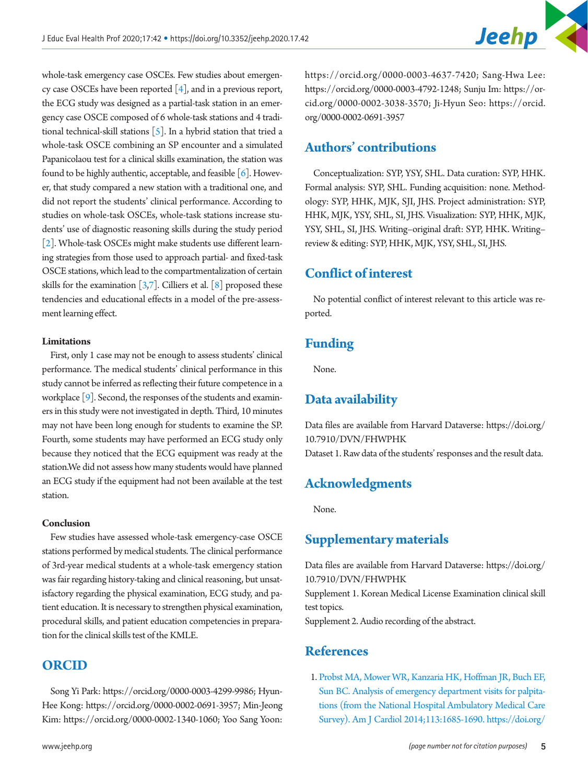whole-task emergency case OSCEs. Few studies about emergency case OSCEs have been reported [\[4\]](#page-5-1), and in a previous report, the ECG study was designed as a partial-task station in an emergency case OSCE composed of 6 whole-task stations and 4 traditional technical-skill stations  $[5]$  $[5]$ . In a hybrid station that tried a whole-task OSCE combining an SP encounter and a simulated Papanicolaou test for a clinical skills examination, the station was found to be highly authentic, acceptable, and feasible  $[6]$ . However, that study compared a new station with a traditional one, and did not report the students' clinical performance. According to studies on whole-task OSCEs, whole-task stations increase students' use of diagnostic reasoning skills during the study period [2]. Whole-task OSCEs might make students use different learning strategies from those used to approach partial- and fixed-task OSCE stations, which lead to the compartmentalization of certain skills for the examination  $[3,7]$  $[3,7]$ . Cilliers et al.  $[8]$  $[8]$  proposed these tendencies and educational effects in a model of the pre-assessment learning effect.

#### **Limitations**

First, only 1 case may not be enough to assess students' clinical performance. The medical students' clinical performance in this study cannot be inferred as reflecting their future competence in a workplace [\[9](#page-5-6)]. Second, the responses of the students and examiners in this study were not investigated in depth. Third, 10 minutes may not have been long enough for students to examine the SP. Fourth, some students may have performed an ECG study only because they noticed that the ECG equipment was ready at the station.We did not assess how many students would have planned an ECG study if the equipment had not been available at the test station.

#### **Conclusion**

Few studies have assessed whole-task emergency-case OSCE stations performed by medical students. The clinical performance of 3rd-year medical students at a whole-task emergency station was fair regarding history-taking and clinical reasoning, but unsatisfactory regarding the physical examination, ECG study, and patient education. It is necessary to strengthen physical examination, procedural skills, and patient education competencies in preparation for the clinical skills test of the KMLE.

## **ORCID**

Song Yi Park: [https://orcid.org/0000-0003-4299-99](http://orcid.org/0000-0003-4299-9986)86; Hyun-Hee Kong: [https://orcid.org/0000-0002-0691-3957](http://orcid.org/0000-0002-0691-3957); Min-Jeong Kim: [https://orcid.org/0000-0002-1340-1060](http://orcid.org/0000-0002-1340-1060); Yoo Sang Yoon:

[https://orcid.org/0000-0003-4637-742](http://orcid.org/0000-0003-4637-7420)0; Sang-Hwa Lee: [https://orcid.org/0000-0003-4792-1248](http://orcid.org/0000-0003-4792-1248); Sunju Im: [https://or](http://orcid.org/0000-0002-3038-3570)[cid.org/0000-0002-3038-3570](http://orcid.org/0000-0002-3038-3570); Ji-Hyun Seo: [https://orcid.](http://orcid.org/0000-0002-0691-3957) [org/0000-0002-0691-39](http://orcid.org/0000-0002-0691-3957)57

**Jeehp** 

# **Authors' contributions**

Conceptualization: SYP, YSY, SHL. Data curation: SYP, HHK. Formal analysis: SYP, SHL. Funding acquisition: none. Methodology: SYP, HHK, MJK, SJI, JHS. Project administration: SYP, HHK, MJK, YSY, SHL, SI, JHS. Visualization: SYP, HHK, MJK, YSY, SHL, SI, JHS. Writing–original draft: SYP, HHK. Writing– review & editing: SYP, HHK, MJK, YSY, SHL, SI, JHS.

## **Conflict of interest**

No potential conflict of interest relevant to this article was reported.

# **Funding**

None.

# <span id="page-4-4"></span>**Data availability**

Data files are available from Harvard Dataverse: [https://doi.org/](https://doi.org/
10.7910/DVN/FHWPHK) [10.7910/DVN/FHWPHK](https://doi.org/
10.7910/DVN/FHWPHK) Dataset 1. Raw data of the students' responses and the result data.

# **Acknowledgments**

None.

## <span id="page-4-1"></span>**Supplementary materials**

Data files are available from Harvard Dataverse: [https://doi.org/](https://doi.org/
10.7910/DVN/FHWPHK) [10.7910/DVN/FHWPHK](https://doi.org/
10.7910/DVN/FHWPHK) Supplement 1. Korean Medical License Examination clinical skill test topics.

<span id="page-4-2"></span>Supplement 2. Audio recording of the abstract.

# <span id="page-4-3"></span>**References**

<span id="page-4-0"></span>[1. Probst MA, Mower WR, Kanzaria HK, Hoffman JR, Buch EF,](https://doi.org/10.1016/j.amjcard.2014.02.020)  [Sun BC. Analysis of emergency department visits for palpita](https://doi.org/10.1016/j.amjcard.2014.02.020)[tions \(from the National Hospital Ambulatory Medical Care](https://doi.org/10.1016/j.amjcard.2014.02.020)  [Survey\). Am J Cardiol 2014;113:1685-1690. https://doi.org/](https://doi.org/10.1016/j.amjcard.2014.02.020)